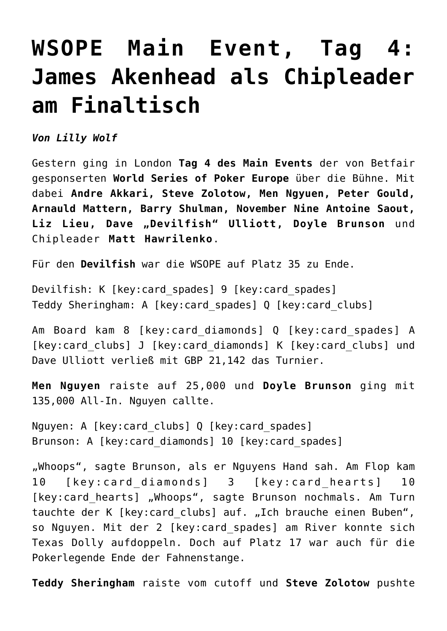## **[WSOPE Main Event, Tag 4:](https://www.isa-guide.de/isa-casinos/articles/27113.html) [James Akenhead als Chipleader](https://www.isa-guide.de/isa-casinos/articles/27113.html) [am Finaltisch](https://www.isa-guide.de/isa-casinos/articles/27113.html)**

*Von Lilly Wolf*

Gestern ging in London **Tag 4 des Main Events** der von Betfair gesponserten **World Series of Poker Europe** über die Bühne. Mit dabei **Andre Akkari, Steve Zolotow, Men Ngyuen, Peter Gould, Arnauld Mattern, Barry Shulman, November Nine Antoine Saout,** Liz Lieu, Dave "Devilfish" Ulliott, Doyle Brunson und Chipleader **Matt Hawrilenko**.

Für den **Devilfish** war die WSOPE auf Platz 35 zu Ende.

Devilfish: K [key:card spades] 9 [key:card spades] Teddy Sheringham: A [key:card\_spades] Q [key:card\_clubs]

Am Board kam 8 [key:card\_diamonds] Q [key:card\_spades] A [key:card clubs] J [key:card diamonds] K [key:card clubs] und Dave Ulliott verließ mit GBP 21,142 das Turnier.

**Men Nguyen** raiste auf 25,000 und **Doyle Brunson** ging mit 135,000 All-In. Nguyen callte.

Nguyen: A [key:card clubs] Q [key:card spades] Brunson: A [key:card diamonds] 10 [key:card spades]

"Whoops", sagte Brunson, als er Nguyens Hand sah. Am Flop kam 10 [key:card\_diamonds] 3 [key:card\_hearts] 10 [key:card hearts] "Whoops", sagte Brunson nochmals. Am Turn tauchte der K [key: card clubs] auf. "Ich brauche einen Buben", so Nguyen. Mit der 2 [key:card\_spades] am River konnte sich Texas Dolly aufdoppeln. Doch auf Platz 17 war auch für die Pokerlegende Ende der Fahnenstange.

**Teddy Sheringham** raiste vom cutoff und **Steve Zolotow** pushte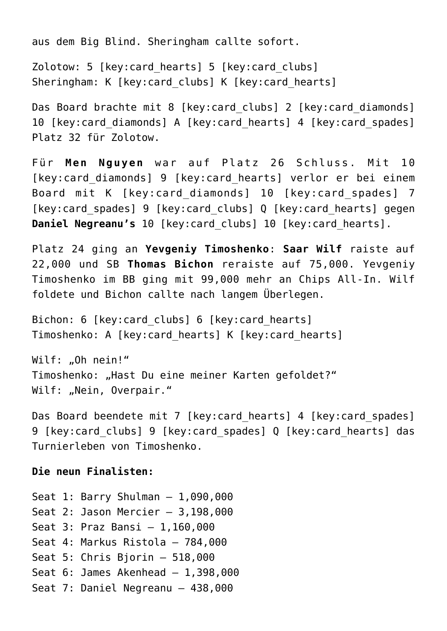aus dem Big Blind. Sheringham callte sofort.

Zolotow: 5 [key:card\_hearts] 5 [key:card\_clubs] Sheringham: K [key:card clubs] K [key:card hearts]

Das Board brachte mit 8 [key:card clubs] 2 [key:card diamonds] 10 [key:card diamonds] A [key:card hearts] 4 [key:card spades] Platz 32 für Zolotow.

Für **Men Nguyen** war auf Platz 26 Schluss. Mit 10 [key:card diamonds] 9 [key:card hearts] verlor er bei einem Board mit K [key:card\_diamonds] 10 [key:card\_spades] 7 [key:card spades] 9 [key:card clubs] Q [key:card hearts] gegen **Daniel Negreanu's** 10 [key:card\_clubs] 10 [key:card\_hearts].

Platz 24 ging an **Yevgeniy Timoshenko**: **Saar Wilf** raiste auf 22,000 und SB **Thomas Bichon** reraiste auf 75,000. Yevgeniy Timoshenko im BB ging mit 99,000 mehr an Chips All-In. Wilf foldete und Bichon callte nach langem Überlegen.

Bichon: 6 [key:card clubs] 6 [key:card hearts] Timoshenko: A [key:card hearts] K [key:card hearts]

Wilf: .. Oh nein!" Timoshenko: "Hast Du eine meiner Karten gefoldet?" Wilf: "Nein, Overpair."

Das Board beendete mit 7 [key:card hearts] 4 [key:card spades] 9 [key:card clubs] 9 [key:card spades] Q [key:card hearts] das Turnierleben von Timoshenko.

## **Die neun Finalisten:**

Seat 1: Barry Shulman – 1,090,000 Seat 2: Jason Mercier – 3,198,000 Seat 3: Praz Bansi – 1,160,000 Seat 4: Markus Ristola – 784,000 Seat 5: Chris Bjorin – 518,000 Seat 6: James Akenhead – 1,398,000 Seat 7: Daniel Negreanu – 438,000